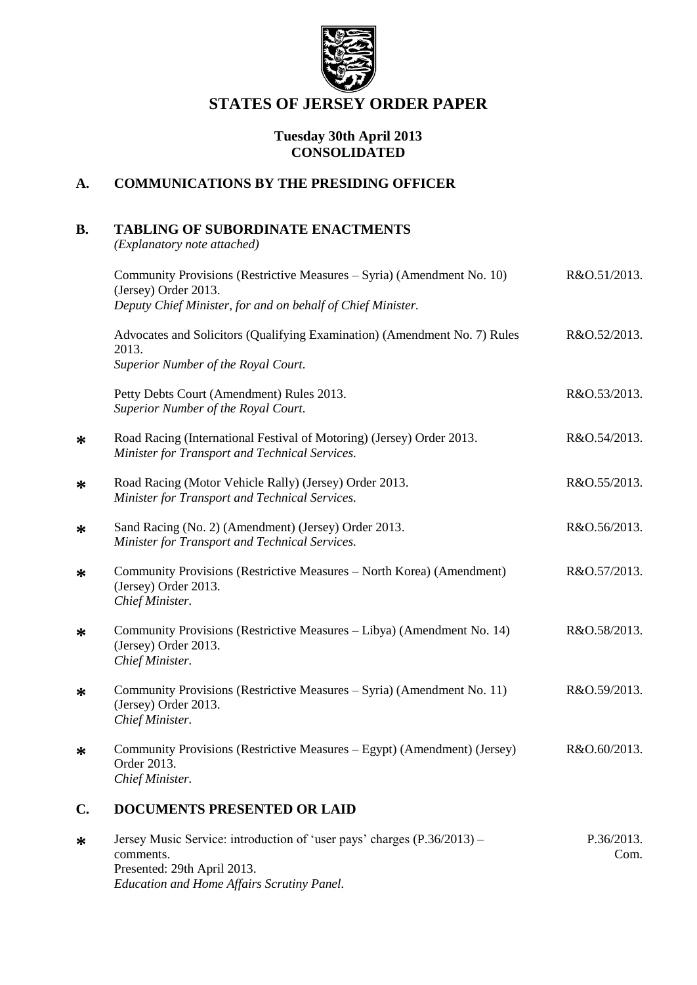

# **STATES OF JERSEY ORDER PAPER**

### **Tuesday 30th April 2013 CONSOLIDATED**

## **A. COMMUNICATIONS BY THE PRESIDING OFFICER**

# **B. TABLING OF SUBORDINATE ENACTMENTS**

*(Explanatory note attached)*

**\***

**\***

**\***

**\***

**\***

**\***

**\***

|        | Community Provisions (Restrictive Measures – Syria) (Amendment No. 10)<br>(Jersey) Order 2013.                          | R&O.51/2013. |
|--------|-------------------------------------------------------------------------------------------------------------------------|--------------|
|        | Deputy Chief Minister, for and on behalf of Chief Minister.                                                             |              |
|        | Advocates and Solicitors (Qualifying Examination) (Amendment No. 7) Rules<br>2013.                                      | R&O.52/2013. |
|        | Superior Number of the Royal Court.                                                                                     |              |
|        | Petty Debts Court (Amendment) Rules 2013.<br>Superior Number of the Royal Court.                                        | R&O.53/2013. |
| $\ast$ | Road Racing (International Festival of Motoring) (Jersey) Order 2013.<br>Minister for Transport and Technical Services. | R&O.54/2013. |
| $\ast$ | Road Racing (Motor Vehicle Rally) (Jersey) Order 2013.<br>Minister for Transport and Technical Services.                | R&O.55/2013. |
| $\ast$ | Sand Racing (No. 2) (Amendment) (Jersey) Order 2013.<br>Minister for Transport and Technical Services.                  | R&O.56/2013. |
| $\ast$ | Community Provisions (Restrictive Measures - North Korea) (Amendment)<br>(Jersey) Order 2013.<br>Chief Minister.        | R&O.57/2013. |
| $\ast$ | Community Provisions (Restrictive Measures – Libya) (Amendment No. 14)<br>(Jersey) Order 2013.<br>Chief Minister.       | R&O.58/2013. |
| $\ast$ | Community Provisions (Restrictive Measures – Syria) (Amendment No. 11)<br>(Jersey) Order 2013.<br>Chief Minister.       | R&O.59/2013. |
| ∗      | Community Provisions (Restrictive Measures – Egypt) (Amendment) (Jersey)<br>Order 2013.<br>Chief Minister.              | R&O.60/2013. |
| C.     | <b>DOCUMENTS PRESENTED OR LAID</b>                                                                                      |              |
|        | $\sim$ $\sim$                                                                                                           |              |

**\*** Jersey Music Service: introduction of 'user pays' charges (P.36/2013) – comments. Presented: 29th April 2013. *Education and Home Affairs Scrutiny Panel.* P.36/2013. Com.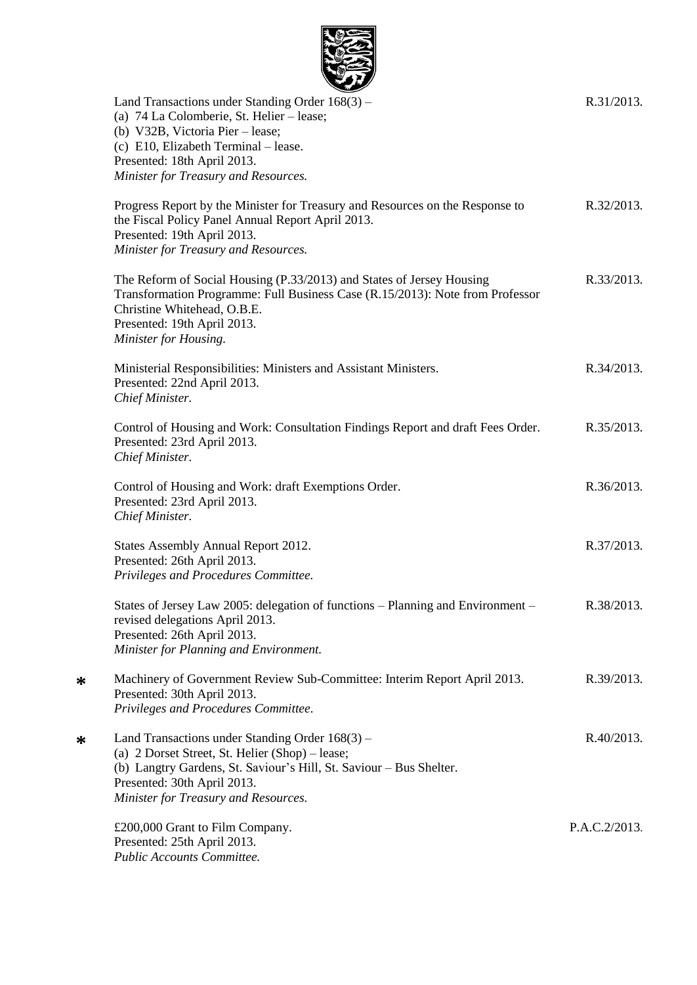

| $\sim$<br>Land Transactions under Standing Order 168(3) –<br>(a) 74 La Colomberie, St. Helier – lease;<br>(b) V32B, Victoria Pier – lease;<br>(c) E10, Elizabeth Terminal - lease.<br>Presented: 18th April 2013.                                 | R.31/2013.    |
|---------------------------------------------------------------------------------------------------------------------------------------------------------------------------------------------------------------------------------------------------|---------------|
| Minister for Treasury and Resources.<br>Progress Report by the Minister for Treasury and Resources on the Response to<br>the Fiscal Policy Panel Annual Report April 2013.<br>Presented: 19th April 2013.<br>Minister for Treasury and Resources. | R.32/2013.    |
| The Reform of Social Housing (P.33/2013) and States of Jersey Housing<br>Transformation Programme: Full Business Case (R.15/2013): Note from Professor<br>Christine Whitehead, O.B.E.<br>Presented: 19th April 2013.<br>Minister for Housing.     | R.33/2013.    |
| Ministerial Responsibilities: Ministers and Assistant Ministers.<br>Presented: 22nd April 2013.<br>Chief Minister.                                                                                                                                | R.34/2013.    |
| Control of Housing and Work: Consultation Findings Report and draft Fees Order.<br>Presented: 23rd April 2013.<br>Chief Minister.                                                                                                                 | R.35/2013.    |
| Control of Housing and Work: draft Exemptions Order.<br>Presented: 23rd April 2013.<br>Chief Minister.                                                                                                                                            | R.36/2013.    |
| States Assembly Annual Report 2012.<br>Presented: 26th April 2013.<br>Privileges and Procedures Committee.                                                                                                                                        | R.37/2013.    |
| States of Jersey Law 2005: delegation of functions - Planning and Environment -<br>revised delegations April 2013.<br>Presented: 26th April 2013.<br>Minister for Planning and Environment.                                                       | R.38/2013.    |
| Machinery of Government Review Sub-Committee: Interim Report April 2013.<br>Presented: 30th April 2013.<br>Privileges and Procedures Committee.                                                                                                   | R.39/2013.    |
| Land Transactions under Standing Order 168(3) –<br>(a) 2 Dorset Street, St. Helier (Shop) – lease;<br>(b) Langtry Gardens, St. Saviour's Hill, St. Saviour - Bus Shelter.<br>Presented: 30th April 2013.<br>Minister for Treasury and Resources.  | R.40/2013.    |
| £200,000 Grant to Film Company.<br>Presented: 25th April 2013.<br>Public Accounts Committee.                                                                                                                                                      | P.A.C.2/2013. |

**\***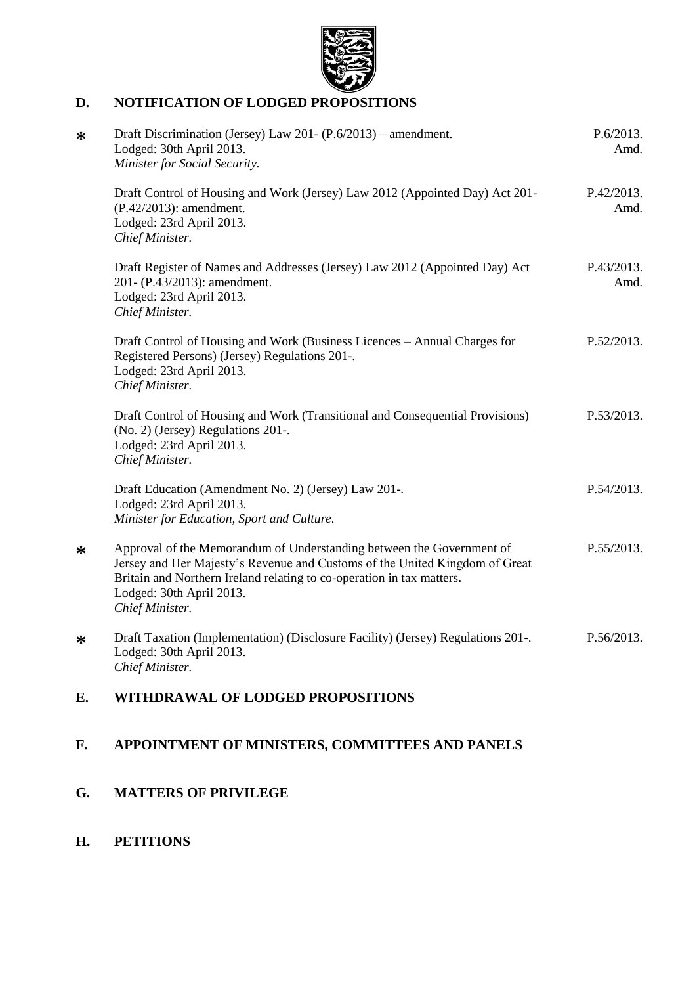

# **D. NOTIFICATION OF LODGED PROPOSITIONS**

| ∗ | Draft Discrimination (Jersey) Law 201- (P.6/2013) – amendment.<br>Lodged: 30th April 2013.<br>Minister for Social Security.                                                                                                                                                  | P.6/2013.<br>Amd.  |
|---|------------------------------------------------------------------------------------------------------------------------------------------------------------------------------------------------------------------------------------------------------------------------------|--------------------|
|   | Draft Control of Housing and Work (Jersey) Law 2012 (Appointed Day) Act 201-<br>(P.42/2013): amendment.<br>Lodged: 23rd April 2013.<br>Chief Minister.                                                                                                                       | P.42/2013.<br>Amd. |
|   | Draft Register of Names and Addresses (Jersey) Law 2012 (Appointed Day) Act<br>201- (P.43/2013): amendment.<br>Lodged: 23rd April 2013.<br>Chief Minister.                                                                                                                   | P.43/2013.<br>Amd. |
|   | Draft Control of Housing and Work (Business Licences – Annual Charges for<br>Registered Persons) (Jersey) Regulations 201-.<br>Lodged: 23rd April 2013.<br>Chief Minister.                                                                                                   | P.52/2013.         |
|   | Draft Control of Housing and Work (Transitional and Consequential Provisions)<br>(No. 2) (Jersey) Regulations 201-.<br>Lodged: 23rd April 2013.<br>Chief Minister.                                                                                                           | P.53/2013.         |
|   | Draft Education (Amendment No. 2) (Jersey) Law 201-.<br>Lodged: 23rd April 2013.<br>Minister for Education, Sport and Culture.                                                                                                                                               | P.54/2013.         |
| ∗ | Approval of the Memorandum of Understanding between the Government of<br>Jersey and Her Majesty's Revenue and Customs of the United Kingdom of Great<br>Britain and Northern Ireland relating to co-operation in tax matters.<br>Lodged: 30th April 2013.<br>Chief Minister. | P.55/2013.         |
| ∗ | Draft Taxation (Implementation) (Disclosure Facility) (Jersey) Regulations 201-.<br>Lodged: 30th April 2013.<br>Chief Minister.                                                                                                                                              | P.56/2013.         |

# **E. WITHDRAWAL OF LODGED PROPOSITIONS**

# **F. APPOINTMENT OF MINISTERS, COMMITTEES AND PANELS**

# **G. MATTERS OF PRIVILEGE**

# **H. PETITIONS**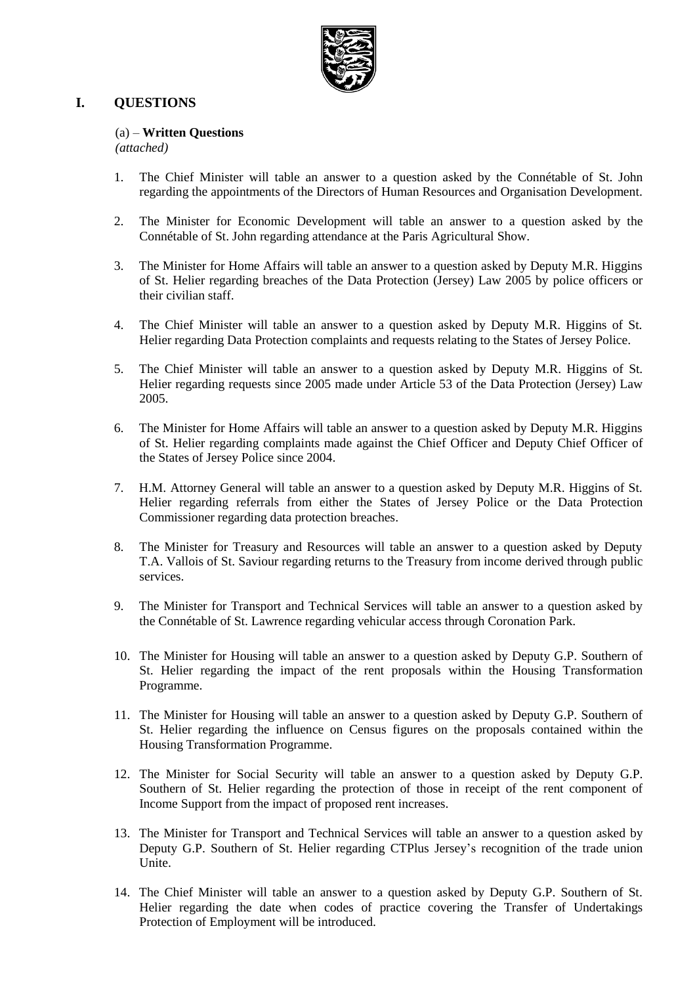

## **I. QUESTIONS**

### (a) – **Written Questions**

*(attached)*

- 1. The Chief Minister will table an answer to a question asked by the Connétable of St. John regarding the appointments of the Directors of Human Resources and Organisation Development.
- 2. The Minister for Economic Development will table an answer to a question asked by the Connétable of St. John regarding attendance at the Paris Agricultural Show.
- 3. The Minister for Home Affairs will table an answer to a question asked by Deputy M.R. Higgins of St. Helier regarding breaches of the Data Protection (Jersey) Law 2005 by police officers or their civilian staff.
- 4. The Chief Minister will table an answer to a question asked by Deputy M.R. Higgins of St. Helier regarding Data Protection complaints and requests relating to the States of Jersey Police.
- 5. The Chief Minister will table an answer to a question asked by Deputy M.R. Higgins of St. Helier regarding requests since 2005 made under Article 53 of the Data Protection (Jersey) Law 2005.
- 6. The Minister for Home Affairs will table an answer to a question asked by Deputy M.R. Higgins of St. Helier regarding complaints made against the Chief Officer and Deputy Chief Officer of the States of Jersey Police since 2004.
- 7. H.M. Attorney General will table an answer to a question asked by Deputy M.R. Higgins of St. Helier regarding referrals from either the States of Jersey Police or the Data Protection Commissioner regarding data protection breaches.
- 8. The Minister for Treasury and Resources will table an answer to a question asked by Deputy T.A. Vallois of St. Saviour regarding returns to the Treasury from income derived through public services.
- 9. The Minister for Transport and Technical Services will table an answer to a question asked by the Connétable of St. Lawrence regarding vehicular access through Coronation Park.
- 10. The Minister for Housing will table an answer to a question asked by Deputy G.P. Southern of St. Helier regarding the impact of the rent proposals within the Housing Transformation Programme.
- 11. The Minister for Housing will table an answer to a question asked by Deputy G.P. Southern of St. Helier regarding the influence on Census figures on the proposals contained within the Housing Transformation Programme.
- 12. The Minister for Social Security will table an answer to a question asked by Deputy G.P. Southern of St. Helier regarding the protection of those in receipt of the rent component of Income Support from the impact of proposed rent increases.
- 13. The Minister for Transport and Technical Services will table an answer to a question asked by Deputy G.P. Southern of St. Helier regarding CTPlus Jersey's recognition of the trade union Unite.
- 14. The Chief Minister will table an answer to a question asked by Deputy G.P. Southern of St. Helier regarding the date when codes of practice covering the Transfer of Undertakings Protection of Employment will be introduced.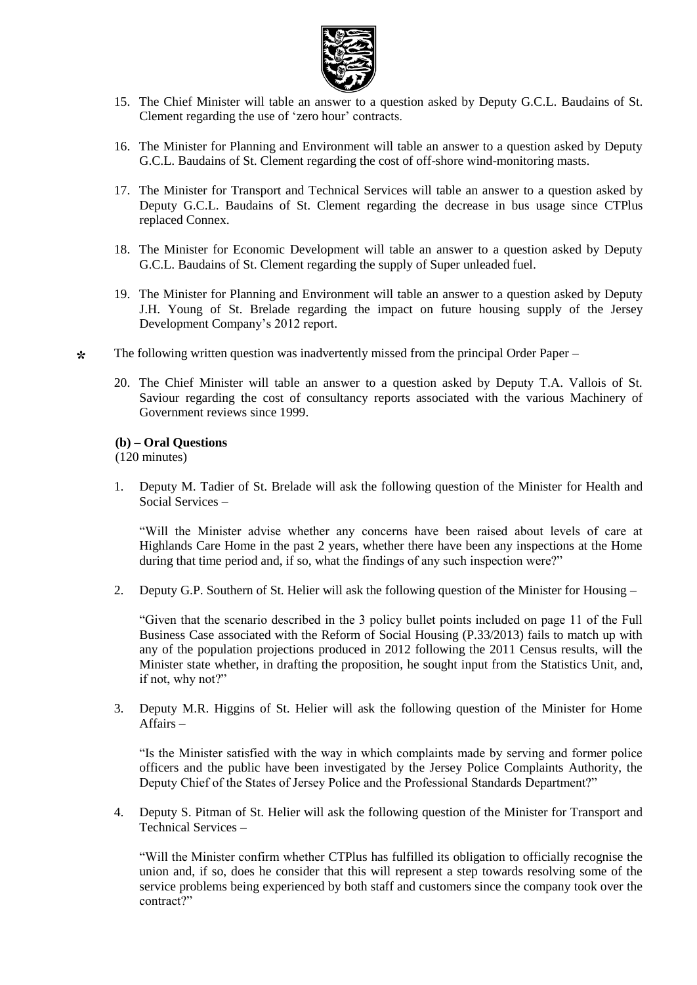

- 15. The Chief Minister will table an answer to a question asked by Deputy G.C.L. Baudains of St. Clement regarding the use of 'zero hour' contracts.
- 16. The Minister for Planning and Environment will table an answer to a question asked by Deputy G.C.L. Baudains of St. Clement regarding the cost of off-shore wind-monitoring masts.
- 17. The Minister for Transport and Technical Services will table an answer to a question asked by Deputy G.C.L. Baudains of St. Clement regarding the decrease in bus usage since CTPlus replaced Connex.
- 18. The Minister for Economic Development will table an answer to a question asked by Deputy G.C.L. Baudains of St. Clement regarding the supply of Super unleaded fuel.
- 19. The Minister for Planning and Environment will table an answer to a question asked by Deputy J.H. Young of St. Brelade regarding the impact on future housing supply of the Jersey Development Company's 2012 report.
- **\*** The following written question was inadvertently missed from the principal Order Paper –
	- 20. The Chief Minister will table an answer to a question asked by Deputy T.A. Vallois of St. Saviour regarding the cost of consultancy reports associated with the various Machinery of Government reviews since 1999.

#### **(b) – Oral Questions**

(120 minutes)

1. Deputy M. Tadier of St. Brelade will ask the following question of the Minister for Health and Social Services –

"Will the Minister advise whether any concerns have been raised about levels of care at Highlands Care Home in the past 2 years, whether there have been any inspections at the Home during that time period and, if so, what the findings of any such inspection were?"

2. Deputy G.P. Southern of St. Helier will ask the following question of the Minister for Housing –

"Given that the scenario described in the 3 policy bullet points included on page 11 of the Full Business Case associated with the Reform of Social Housing (P.33/2013) fails to match up with any of the population projections produced in 2012 following the 2011 Census results, will the Minister state whether, in drafting the proposition, he sought input from the Statistics Unit, and, if not, why not?"

3. Deputy M.R. Higgins of St. Helier will ask the following question of the Minister for Home Affairs –

"Is the Minister satisfied with the way in which complaints made by serving and former police officers and the public have been investigated by the Jersey Police Complaints Authority, the Deputy Chief of the States of Jersey Police and the Professional Standards Department?"

4. Deputy S. Pitman of St. Helier will ask the following question of the Minister for Transport and Technical Services –

"Will the Minister confirm whether CTPlus has fulfilled its obligation to officially recognise the union and, if so, does he consider that this will represent a step towards resolving some of the service problems being experienced by both staff and customers since the company took over the contract?"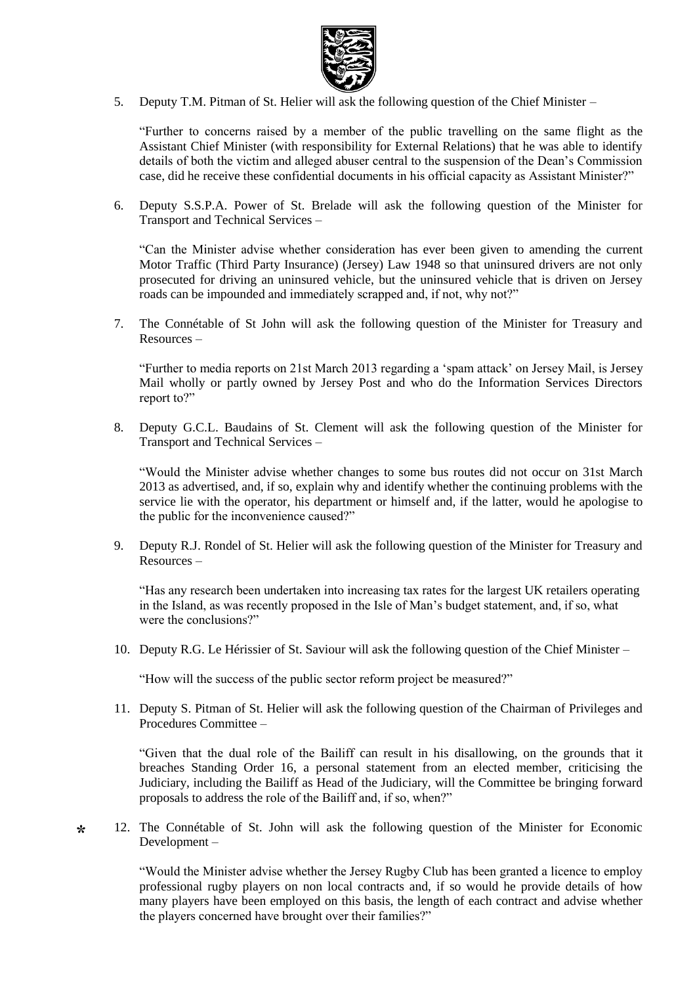

5. Deputy T.M. Pitman of St. Helier will ask the following question of the Chief Minister –

"Further to concerns raised by a member of the public travelling on the same flight as the Assistant Chief Minister (with responsibility for External Relations) that he was able to identify details of both the victim and alleged abuser central to the suspension of the Dean's Commission case, did he receive these confidential documents in his official capacity as Assistant Minister?"

6. Deputy S.S.P.A. Power of St. Brelade will ask the following question of the Minister for Transport and Technical Services –

"Can the Minister advise whether consideration has ever been given to amending the current Motor Traffic (Third Party Insurance) (Jersey) Law 1948 so that uninsured drivers are not only prosecuted for driving an uninsured vehicle, but the uninsured vehicle that is driven on Jersey roads can be impounded and immediately scrapped and, if not, why not?"

7. The Connétable of St John will ask the following question of the Minister for Treasury and Resources –

"Further to media reports on 21st March 2013 regarding a 'spam attack' on Jersey Mail, is Jersey Mail wholly or partly owned by Jersey Post and who do the Information Services Directors report to?"

8. Deputy G.C.L. Baudains of St. Clement will ask the following question of the Minister for Transport and Technical Services –

"Would the Minister advise whether changes to some bus routes did not occur on 31st March 2013 as advertised, and, if so, explain why and identify whether the continuing problems with the service lie with the operator, his department or himself and, if the latter, would he apologise to the public for the inconvenience caused?"

9. Deputy R.J. Rondel of St. Helier will ask the following question of the Minister for Treasury and Resources –

"Has any research been undertaken into increasing tax rates for the largest UK retailers operating in the Island, as was recently proposed in the Isle of Man's budget statement, and, if so, what were the conclusions?"

10. Deputy R.G. Le Hérissier of St. Saviour will ask the following question of the Chief Minister –

"How will the success of the public sector reform project be measured?"

11. Deputy S. Pitman of St. Helier will ask the following question of the Chairman of Privileges and Procedures Committee –

"Given that the dual role of the Bailiff can result in his disallowing, on the grounds that it breaches Standing Order 16, a personal statement from an elected member, criticising the Judiciary, including the Bailiff as Head of the Judiciary, will the Committee be bringing forward proposals to address the role of the Bailiff and, if so, when?"

**\*** 12. The Connétable of St. John will ask the following question of the Minister for Economic Development –

> "Would the Minister advise whether the Jersey Rugby Club has been granted a licence to employ professional rugby players on non local contracts and, if so would he provide details of how many players have been employed on this basis, the length of each contract and advise whether the players concerned have brought over their families?"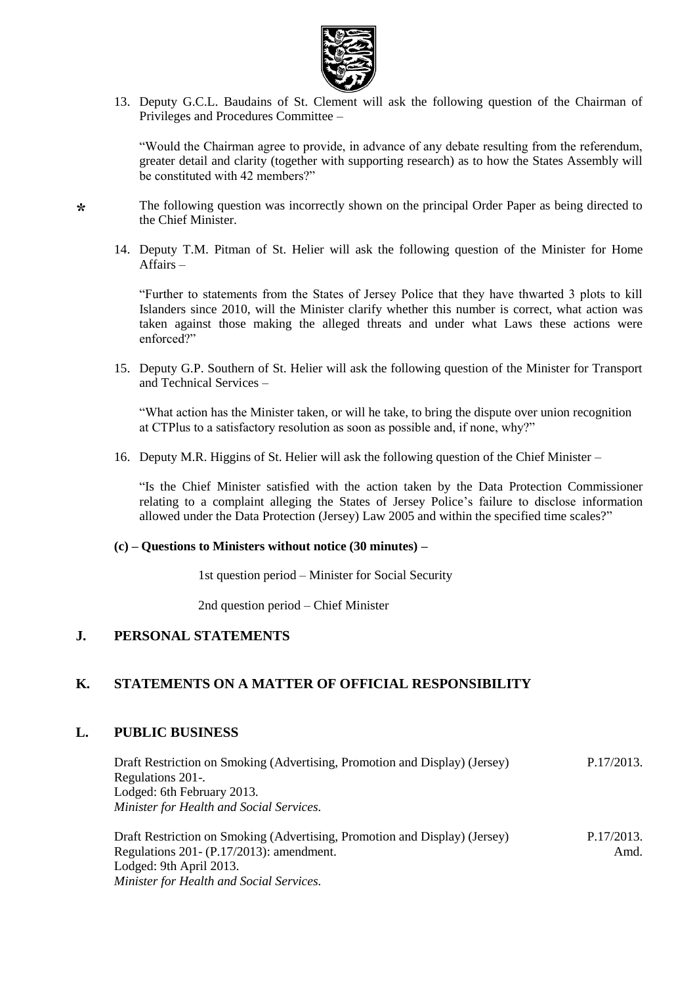

13. Deputy G.C.L. Baudains of St. Clement will ask the following question of the Chairman of Privileges and Procedures Committee –

"Would the Chairman agree to provide, in advance of any debate resulting from the referendum, greater detail and clarity (together with supporting research) as to how the States Assembly will be constituted with 42 members?"

The following question was incorrectly shown on the principal Order Paper as being directed to the Chief Minister.

14. Deputy T.M. Pitman of St. Helier will ask the following question of the Minister for Home Affairs –

"Further to statements from the States of Jersey Police that they have thwarted 3 plots to kill Islanders since 2010, will the Minister clarify whether this number is correct, what action was taken against those making the alleged threats and under what Laws these actions were enforced?"

15. Deputy G.P. Southern of St. Helier will ask the following question of the Minister for Transport and Technical Services –

"What action has the Minister taken, or will he take, to bring the dispute over union recognition at CTPlus to a satisfactory resolution as soon as possible and, if none, why?"

16. Deputy M.R. Higgins of St. Helier will ask the following question of the Chief Minister –

"Is the Chief Minister satisfied with the action taken by the Data Protection Commissioner relating to a complaint alleging the States of Jersey Police's failure to disclose information allowed under the Data Protection (Jersey) Law 2005 and within the specified time scales?"

#### **(c) – Questions to Ministers without notice (30 minutes) –**

1st question period – Minister for Social Security

2nd question period – Chief Minister

### **J. PERSONAL STATEMENTS**

### **K. STATEMENTS ON A MATTER OF OFFICIAL RESPONSIBILITY**

#### **L. PUBLIC BUSINESS**

**\***

| Draft Restriction on Smoking (Advertising, Promotion and Display) (Jersey) | P.17/2013. |
|----------------------------------------------------------------------------|------------|
| Regulations 201-.                                                          |            |
| Lodged: 6th February 2013.                                                 |            |
| <i>Minister for Health and Social Services.</i>                            |            |
|                                                                            |            |

Draft Restriction on Smoking (Advertising, Promotion and Display) (Jersey) Regulations 201- (P.17/2013): amendment. Lodged: 9th April 2013. *Minister for Health and Social Services.* P.17/2013. Amd.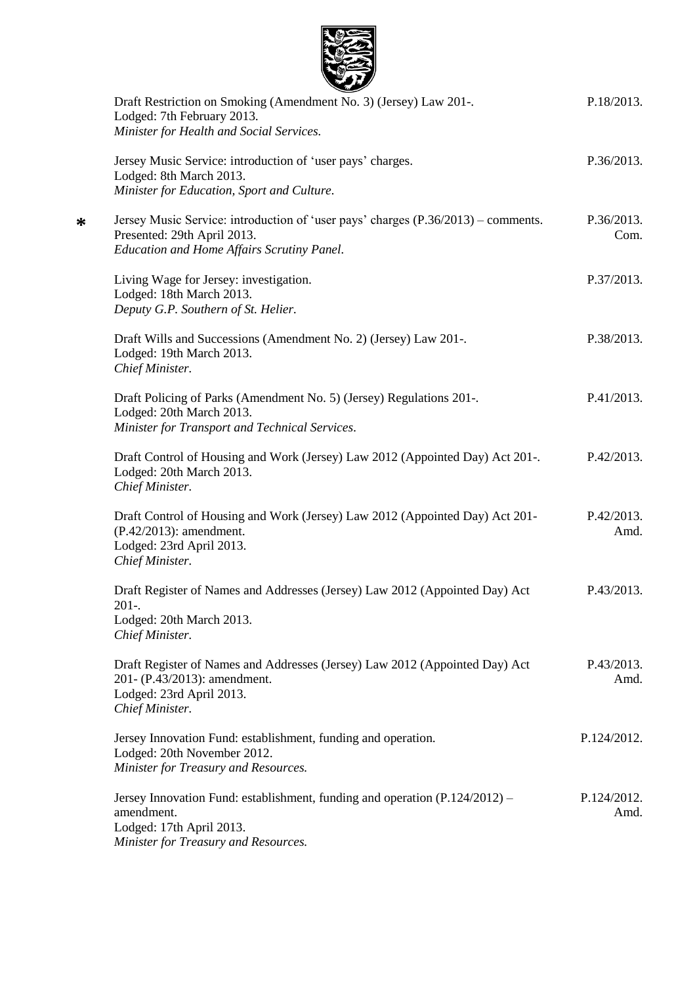| Draft Restriction on Smoking (Amendment No. 3) (Jersey) Law 201-.<br>Lodged: 7th February 2013.<br>Minister for Health and Social Services.                   | P.18/2013.          |
|---------------------------------------------------------------------------------------------------------------------------------------------------------------|---------------------|
|                                                                                                                                                               |                     |
| Jersey Music Service: introduction of 'user pays' charges.<br>Lodged: 8th March 2013.                                                                         | P.36/2013.          |
| Minister for Education, Sport and Culture.                                                                                                                    |                     |
| Jersey Music Service: introduction of 'user pays' charges (P.36/2013) – comments.<br>Presented: 29th April 2013.                                              | P.36/2013.<br>Com.  |
| Education and Home Affairs Scrutiny Panel.                                                                                                                    |                     |
| Living Wage for Jersey: investigation.<br>Lodged: 18th March 2013.                                                                                            | P.37/2013.          |
| Deputy G.P. Southern of St. Helier.                                                                                                                           |                     |
| Draft Wills and Successions (Amendment No. 2) (Jersey) Law 201-.<br>Lodged: 19th March 2013.<br>Chief Minister.                                               | P.38/2013.          |
| Draft Policing of Parks (Amendment No. 5) (Jersey) Regulations 201-.<br>Lodged: 20th March 2013.<br>Minister for Transport and Technical Services.            | P.41/2013.          |
| Draft Control of Housing and Work (Jersey) Law 2012 (Appointed Day) Act 201-.<br>Lodged: 20th March 2013.<br>Chief Minister.                                  | P.42/2013.          |
| Draft Control of Housing and Work (Jersey) Law 2012 (Appointed Day) Act 201-<br>(P.42/2013): amendment.<br>Lodged: 23rd April 2013.<br>Chief Minister.        | P.42/2013.<br>Amd.  |
| Draft Register of Names and Addresses (Jersey) Law 2012 (Appointed Day) Act<br>$201-.$<br>Lodged: 20th March 2013.<br>Chief Minister.                         | P.43/2013.          |
| Draft Register of Names and Addresses (Jersey) Law 2012 (Appointed Day) Act<br>201- (P.43/2013): amendment.<br>Lodged: 23rd April 2013.<br>Chief Minister.    | P.43/2013.<br>Amd.  |
| Jersey Innovation Fund: establishment, funding and operation.<br>Lodged: 20th November 2012.<br>Minister for Treasury and Resources.                          | P.124/2012.         |
| Jersey Innovation Fund: establishment, funding and operation (P.124/2012) –<br>amendment.<br>Lodged: 17th April 2013.<br>Minister for Treasury and Resources. | P.124/2012.<br>Amd. |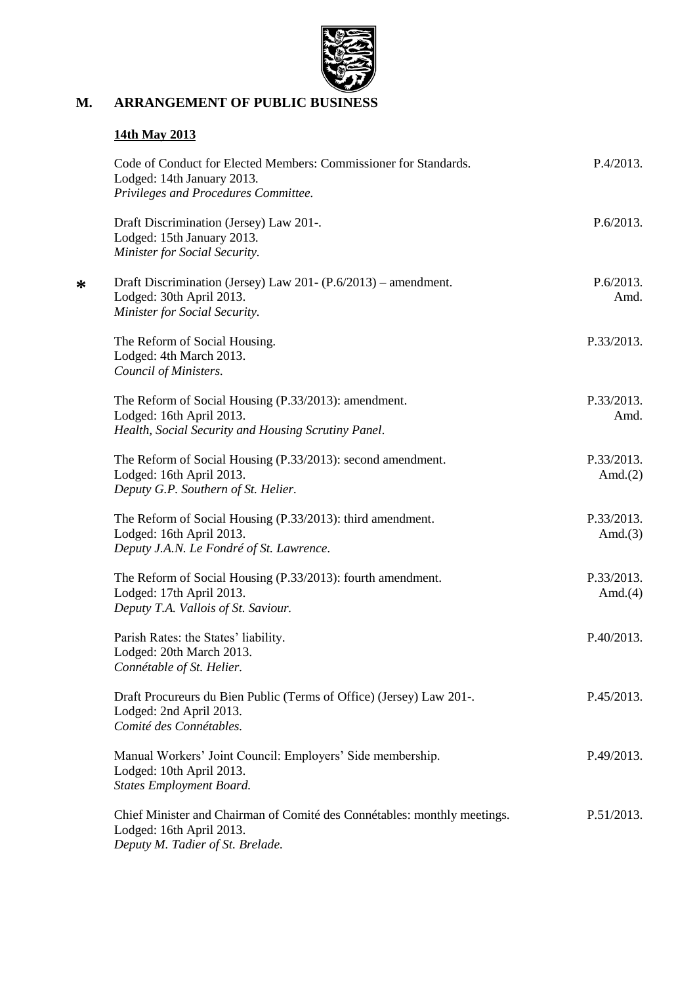

# **M. ARRANGEMENT OF PUBLIC BUSINESS**

# **14th May 2013**

| Code of Conduct for Elected Members: Commissioner for Standards.<br>Lodged: 14th January 2013.<br>Privileges and Procedures Committee.   | P.4/2013.                |
|------------------------------------------------------------------------------------------------------------------------------------------|--------------------------|
| Draft Discrimination (Jersey) Law 201-.<br>Lodged: 15th January 2013.<br>Minister for Social Security.                                   | P.6/2013.                |
| Draft Discrimination (Jersey) Law 201- $(P.6/2013)$ – amendment.<br>Lodged: 30th April 2013.<br>Minister for Social Security.            | P.6/2013.<br>Amd.        |
| The Reform of Social Housing.<br>Lodged: 4th March 2013.<br>Council of Ministers.                                                        | P.33/2013.               |
| The Reform of Social Housing (P.33/2013): amendment.<br>Lodged: 16th April 2013.<br>Health, Social Security and Housing Scrutiny Panel.  | P.33/2013.<br>Amd.       |
| The Reform of Social Housing (P.33/2013): second amendment.<br>Lodged: 16th April 2013.<br>Deputy G.P. Southern of St. Helier.           | P.33/2013.<br>Amd. $(2)$ |
| The Reform of Social Housing (P.33/2013): third amendment.<br>Lodged: 16th April 2013.<br>Deputy J.A.N. Le Fondré of St. Lawrence.       | P.33/2013.<br>Amd. $(3)$ |
| The Reform of Social Housing (P.33/2013): fourth amendment.<br>Lodged: 17th April 2013.<br>Deputy T.A. Vallois of St. Saviour.           | P.33/2013.<br>Amd. $(4)$ |
| Parish Rates: the States' liability.<br>Lodged: 20th March 2013.<br>Connétable of St. Helier.                                            | P.40/2013.               |
| Draft Procureurs du Bien Public (Terms of Office) (Jersey) Law 201-.<br>Lodged: 2nd April 2013.<br>Comité des Connétables.               | P.45/2013.               |
| Manual Workers' Joint Council: Employers' Side membership.<br>Lodged: 10th April 2013.<br><b>States Employment Board.</b>                | P.49/2013.               |
| Chief Minister and Chairman of Comité des Connétables: monthly meetings.<br>Lodged: 16th April 2013.<br>Deputy M. Tadier of St. Brelade. | P.51/2013.               |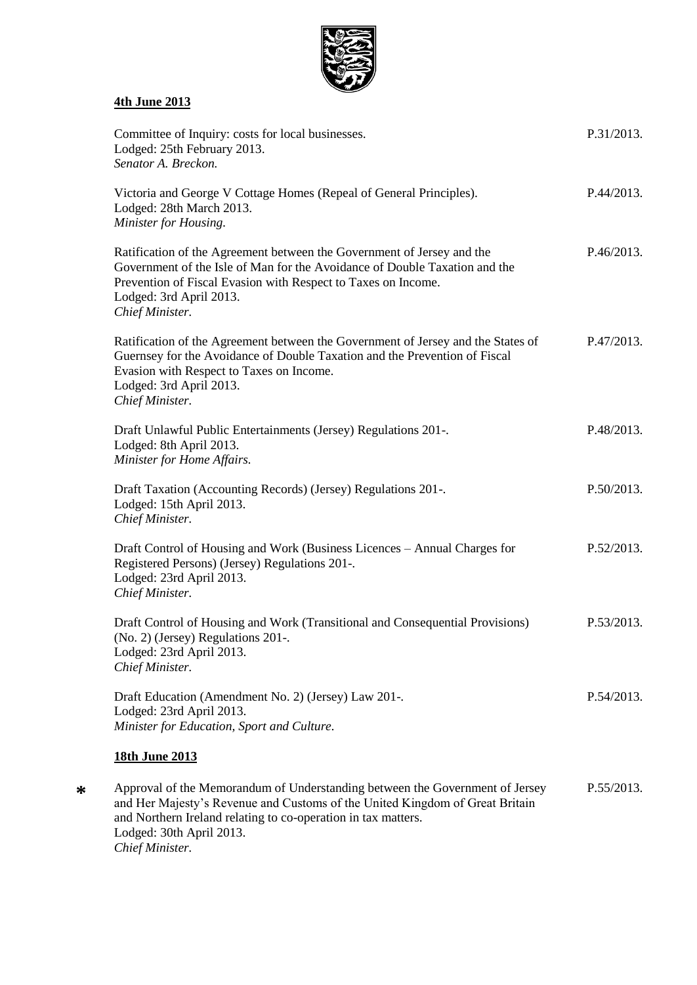

# **4th June 2013**

| Committee of Inquiry: costs for local businesses.<br>Lodged: 25th February 2013.<br>Senator A. Breckon.                                                                                                                                                                      | P.31/2013. |
|------------------------------------------------------------------------------------------------------------------------------------------------------------------------------------------------------------------------------------------------------------------------------|------------|
| Victoria and George V Cottage Homes (Repeal of General Principles).<br>Lodged: 28th March 2013.<br>Minister for Housing.                                                                                                                                                     | P.44/2013. |
| Ratification of the Agreement between the Government of Jersey and the<br>Government of the Isle of Man for the Avoidance of Double Taxation and the<br>Prevention of Fiscal Evasion with Respect to Taxes on Income.<br>Lodged: 3rd April 2013.<br>Chief Minister.          | P.46/2013. |
| Ratification of the Agreement between the Government of Jersey and the States of<br>Guernsey for the Avoidance of Double Taxation and the Prevention of Fiscal<br>Evasion with Respect to Taxes on Income.<br>Lodged: 3rd April 2013.<br>Chief Minister.                     | P.47/2013. |
| Draft Unlawful Public Entertainments (Jersey) Regulations 201-.<br>Lodged: 8th April 2013.<br>Minister for Home Affairs.                                                                                                                                                     | P.48/2013. |
| Draft Taxation (Accounting Records) (Jersey) Regulations 201-.<br>Lodged: 15th April 2013.<br>Chief Minister.                                                                                                                                                                | P.50/2013. |
| Draft Control of Housing and Work (Business Licences – Annual Charges for<br>Registered Persons) (Jersey) Regulations 201-.<br>Lodged: 23rd April 2013.<br>Chief Minister.                                                                                                   | P.52/2013. |
| Draft Control of Housing and Work (Transitional and Consequential Provisions)<br>(No. 2) (Jersey) Regulations 201-.<br>Lodged: 23rd April 2013.<br>Chief Minister.                                                                                                           | P.53/2013. |
| Draft Education (Amendment No. 2) (Jersey) Law 201-.<br>Lodged: 23rd April 2013.<br>Minister for Education, Sport and Culture.                                                                                                                                               | P.54/2013. |
| 18th June 2013                                                                                                                                                                                                                                                               |            |
| Approval of the Memorandum of Understanding between the Government of Jersey<br>and Her Majesty's Revenue and Customs of the United Kingdom of Great Britain<br>and Northern Ireland relating to co-operation in tax matters.<br>Lodged: 30th April 2013.<br>Chief Minister. | P.55/2013. |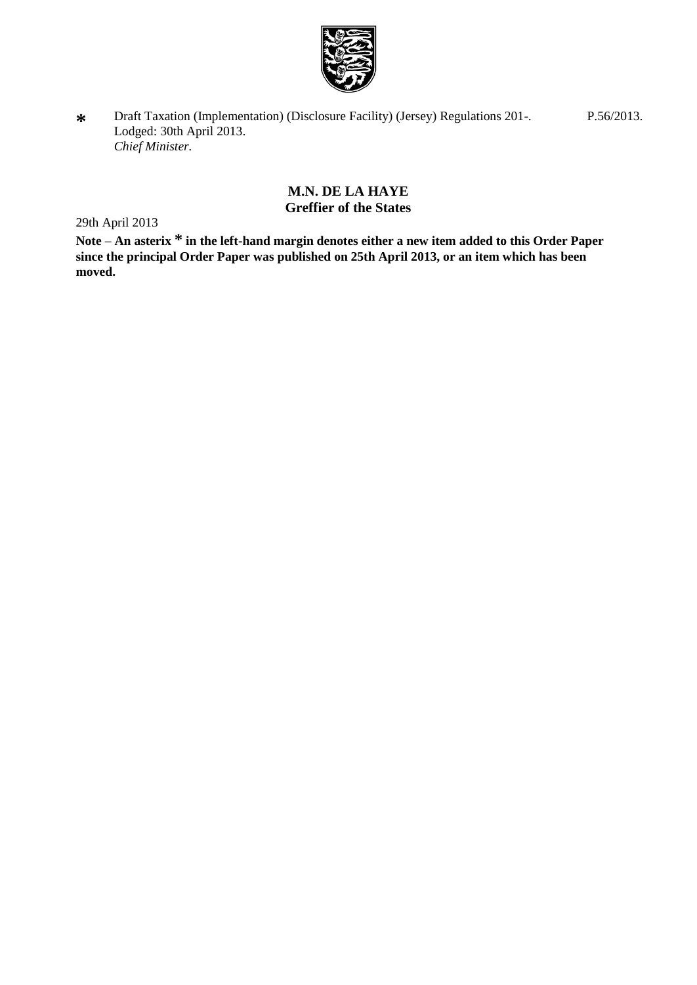

**\*** Draft Taxation (Implementation) (Disclosure Facility) (Jersey) Regulations 201-. Lodged: 30th April 2013. *Chief Minister.*

> **M.N. DE LA HAYE Greffier of the States**

29th April 2013

**Note – An asterix \* in the left-hand margin denotes either a new item added to this Order Paper**  since the principal Order Paper was published on 25th April 2013, or an item which has been **moved.**

P.56/2013.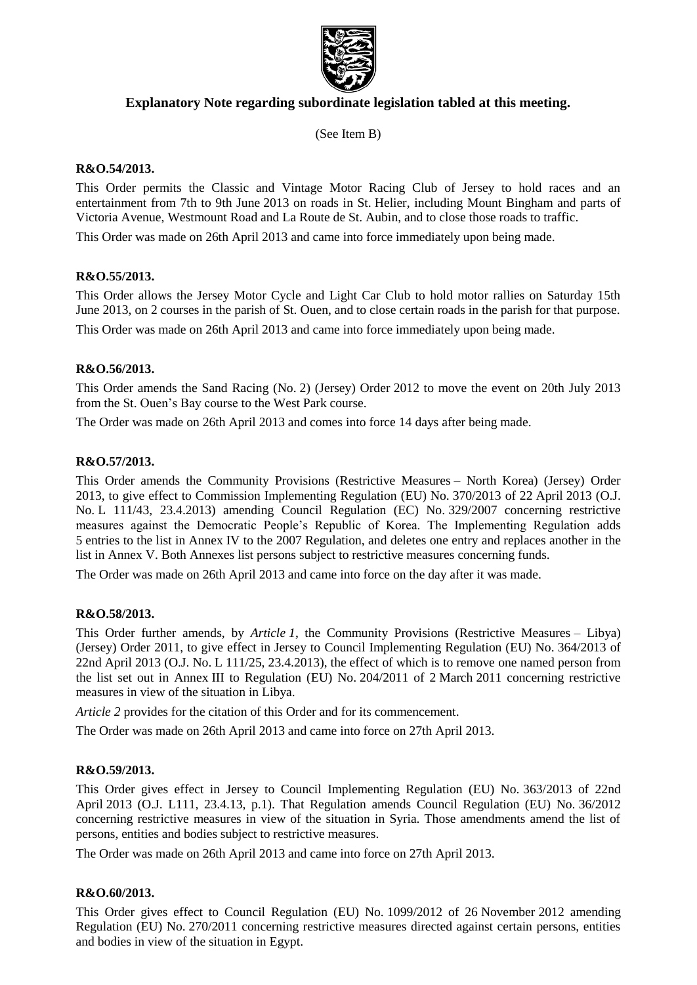

## **Explanatory Note regarding subordinate legislation tabled at this meeting.**

(See Item B)

### **R&O.54/2013.**

This Order permits the Classic and Vintage Motor Racing Club of Jersey to hold races and an entertainment from 7th to 9th June 2013 on roads in St. Helier, including Mount Bingham and parts of Victoria Avenue, Westmount Road and La Route de St. Aubin, and to close those roads to traffic.

This Order was made on 26th April 2013 and came into force immediately upon being made.

### **R&O.55/2013.**

This Order allows the Jersey Motor Cycle and Light Car Club to hold motor rallies on Saturday 15th June 2013, on 2 courses in the parish of St. Ouen, and to close certain roads in the parish for that purpose. This Order was made on 26th April 2013 and came into force immediately upon being made.

### **R&O.56/2013.**

This Order amends the Sand Racing (No. 2) (Jersey) Order 2012 to move the event on 20th July 2013 from the St. Ouen's Bay course to the West Park course.

The Order was made on 26th April 2013 and comes into force 14 days after being made.

### **R&O.57/2013.**

This Order amends the Community Provisions (Restrictive Measures – North Korea) (Jersey) Order 2013, to give effect to Commission Implementing Regulation (EU) No. 370/2013 of 22 April 2013 (O.J. No. L 111/43, 23.4.2013) amending Council Regulation (EC) No. 329/2007 concerning restrictive measures against the Democratic People's Republic of Korea. The Implementing Regulation adds 5 entries to the list in Annex IV to the 2007 Regulation, and deletes one entry and replaces another in the list in Annex V. Both Annexes list persons subject to restrictive measures concerning funds.

The Order was made on 26th April 2013 and came into force on the day after it was made.

#### **R&O.58/2013.**

This Order further amends, by *Article 1*, the Community Provisions (Restrictive Measures – Libya) (Jersey) Order 2011, to give effect in Jersey to Council Implementing Regulation (EU) No. 364/2013 of 22nd April 2013 (O.J. No. L 111/25, 23.4.2013), the effect of which is to remove one named person from the list set out in Annex III to Regulation (EU) No. 204/2011 of 2 March 2011 concerning restrictive measures in view of the situation in Libya.

*Article 2* provides for the citation of this Order and for its commencement.

The Order was made on 26th April 2013 and came into force on 27th April 2013.

#### **R&O.59/2013.**

This Order gives effect in Jersey to Council Implementing Regulation (EU) No. 363/2013 of 22nd April 2013 (O.J. L111, 23.4.13, p.1). That Regulation amends Council Regulation (EU) No. 36/2012 concerning restrictive measures in view of the situation in Syria. Those amendments amend the list of persons, entities and bodies subject to restrictive measures.

The Order was made on 26th April 2013 and came into force on 27th April 2013.

#### **R&O.60/2013.**

This Order gives effect to Council Regulation (EU) No. 1099/2012 of 26 November 2012 amending Regulation (EU) No. 270/2011 concerning restrictive measures directed against certain persons, entities and bodies in view of the situation in Egypt.